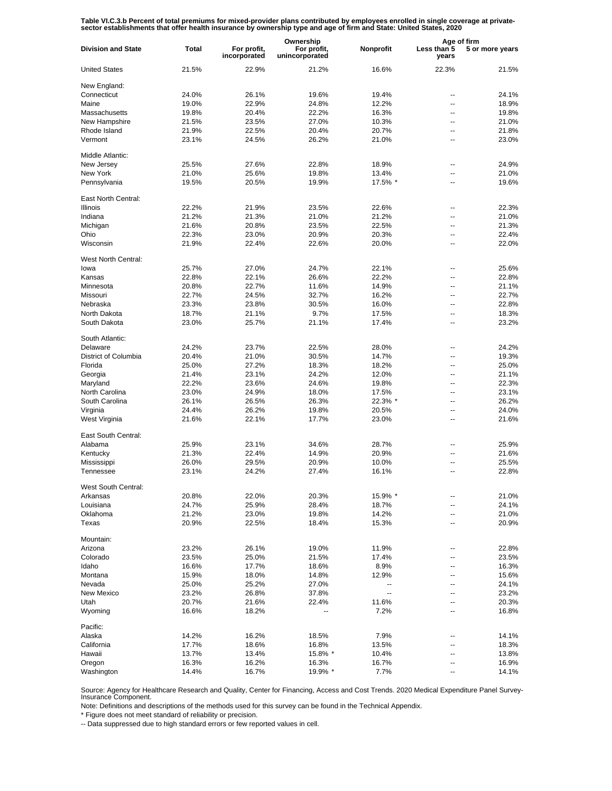Table VI.C.3.b Percent of total premiums for mixed-provider plans contributed by employees enrolled in single coverage at private-<br>sector establishments that offer health insurance by ownership type and age of firm and Sta

|                           |              | Ownership                   |                               |           |                          | Age of firm     |  |
|---------------------------|--------------|-----------------------------|-------------------------------|-----------|--------------------------|-----------------|--|
| <b>Division and State</b> | <b>Total</b> | For profit,<br>incorporated | For profit,<br>unincorporated | Nonprofit | Less than 5<br>years     | 5 or more years |  |
| <b>United States</b>      | 21.5%        | 22.9%                       | 21.2%                         | 16.6%     | 22.3%                    | 21.5%           |  |
| New England:              |              |                             |                               |           |                          |                 |  |
| Connecticut               | 24.0%        | 26.1%                       | 19.6%                         | 19.4%     | ۰.                       | 24.1%           |  |
| Maine                     | 19.0%        | 22.9%                       | 24.8%                         | 12.2%     | $\overline{\phantom{a}}$ | 18.9%           |  |
| Massachusetts             | 19.8%        | 20.4%                       | 22.2%                         | 16.3%     | $\overline{a}$           | 19.8%           |  |
| New Hampshire             | 21.5%        | 23.5%                       | 27.0%                         | 10.3%     | $\overline{\phantom{a}}$ | 21.0%           |  |
|                           |              |                             |                               |           |                          |                 |  |
| Rhode Island              | 21.9%        | 22.5%                       | 20.4%                         | 20.7%     | $\overline{a}$           | 21.8%           |  |
| Vermont                   | 23.1%        | 24.5%                       | 26.2%                         | 21.0%     | $\overline{\phantom{a}}$ | 23.0%           |  |
| Middle Atlantic:          |              |                             |                               |           |                          |                 |  |
| New Jersey                | 25.5%        | 27.6%                       | 22.8%                         | 18.9%     | --                       | 24.9%           |  |
| New York                  | 21.0%        | 25.6%                       | 19.8%                         | 13.4%     | $\overline{a}$           | 21.0%           |  |
| Pennsylvania              | 19.5%        | 20.5%                       | 19.9%                         | 17.5% *   | $\overline{a}$           | 19.6%           |  |
|                           |              |                             |                               |           |                          |                 |  |
| East North Central:       |              |                             |                               |           |                          |                 |  |
| <b>Illinois</b>           | 22.2%        | 21.9%                       | 23.5%                         | 22.6%     | --                       | 22.3%           |  |
| Indiana                   | 21.2%        | 21.3%                       | 21.0%                         | 21.2%     | --                       | 21.0%           |  |
| Michigan                  | 21.6%        | 20.8%                       | 23.5%                         | 22.5%     | --                       | 21.3%           |  |
| Ohio                      | 22.3%        | 23.0%                       | 20.9%                         | 20.3%     | --                       | 22.4%           |  |
| Wisconsin                 | 21.9%        | 22.4%                       | 22.6%                         | 20.0%     | --                       | 22.0%           |  |
|                           |              |                             |                               |           |                          |                 |  |
| West North Central:       |              |                             |                               |           |                          |                 |  |
| lowa                      | 25.7%        | 27.0%                       | 24.7%                         | 22.1%     | $-$                      | 25.6%           |  |
| Kansas                    | 22.8%        | 22.1%                       | 26.6%                         | 22.2%     | $\overline{\phantom{a}}$ | 22.8%           |  |
| Minnesota                 | 20.8%        | 22.7%                       | 11.6%                         | 14.9%     | $\overline{\phantom{a}}$ | 21.1%           |  |
| Missouri                  | 22.7%        | 24.5%                       | 32.7%                         | 16.2%     | $\overline{\phantom{a}}$ | 22.7%           |  |
| Nebraska                  | 23.3%        | 23.8%                       | 30.5%                         | 16.0%     | $\overline{a}$           | 22.8%           |  |
| North Dakota              | 18.7%        | 21.1%                       | 9.7%                          | 17.5%     | $\overline{\phantom{a}}$ | 18.3%           |  |
| South Dakota              | 23.0%        | 25.7%                       | 21.1%                         | 17.4%     | $\overline{a}$           | 23.2%           |  |
|                           |              |                             |                               |           |                          |                 |  |
| South Atlantic:           |              |                             |                               |           |                          |                 |  |
| Delaware                  | 24.2%        | 23.7%                       | 22.5%                         | 28.0%     | $\overline{a}$           | 24.2%           |  |
| District of Columbia      | 20.4%        | 21.0%                       | 30.5%                         | 14.7%     | $\overline{a}$           | 19.3%           |  |
| Florida                   | 25.0%        | 27.2%                       | 18.3%                         | 18.2%     | $\overline{a}$           | 25.0%           |  |
| Georgia                   | 21.4%        | 23.1%                       | 24.2%                         | 12.0%     | $\overline{a}$           | 21.1%           |  |
| Maryland                  | 22.2%        | 23.6%                       | 24.6%                         | 19.8%     | $\overline{a}$           | 22.3%           |  |
| North Carolina            | 23.0%        | 24.9%                       | 18.0%                         | 17.5%     | $\overline{a}$           | 23.1%           |  |
| South Carolina            | 26.1%        | 26.5%                       | 26.3%                         | 22.3% *   | $\overline{a}$           | 26.2%           |  |
| Virginia                  | 24.4%        | 26.2%                       | 19.8%                         | 20.5%     | $\overline{a}$           | 24.0%           |  |
| West Virginia             | 21.6%        | 22.1%                       | 17.7%                         | 23.0%     | $\overline{a}$           | 21.6%           |  |
| East South Central:       |              |                             |                               |           |                          |                 |  |
|                           |              |                             |                               |           |                          |                 |  |
| Alabama                   | 25.9%        | 23.1%                       | 34.6%                         | 28.7%     | --                       | 25.9%           |  |
| Kentucky                  | 21.3%        | 22.4%                       | 14.9%                         | 20.9%     | --                       | 21.6%           |  |
| Mississippi               | 26.0%        | 29.5%                       | 20.9%                         | 10.0%     | --                       | 25.5%           |  |
| Tennessee                 | 23.1%        | 24.2%                       | 27.4%                         | 16.1%     | --                       | 22.8%           |  |
| West South Central:       |              |                             |                               |           |                          |                 |  |
| Arkansas                  | 20.8%        | 22.0%                       | 20.3%                         | 15.9% *   | --                       | 21.0%           |  |
| Louisiana                 | 24.7%        | 25.9%                       | 28.4%                         | 18.7%     | $\overline{\phantom{a}}$ | 24.1%           |  |
| Oklahoma                  | 21.2%        | 23.0%                       | 19.8%                         | 14.2%     | --                       | 21.0%           |  |
| Texas                     | 20.9%        | 22.5%                       | 18.4%                         | 15.3%     | $\overline{\phantom{a}}$ | 20.9%           |  |
|                           |              |                             |                               |           |                          |                 |  |
| Mountain:                 |              |                             |                               |           |                          |                 |  |
| Arizona                   | 23.2%        | 26.1%                       | 19.0%                         | 11.9%     | --                       | 22.8%           |  |
| Colorado                  | 23.5%        | 25.0%                       | 21.5%                         | 17.4%     | --                       | 23.5%           |  |
| Idaho                     | 16.6%        | 17.7%                       | 18.6%                         | 8.9%      | --                       | 16.3%           |  |
| Montana                   | 15.9%        | 18.0%                       | 14.8%                         | 12.9%     | --                       | 15.6%           |  |
| Nevada                    | 25.0%        | 25.2%                       | 27.0%                         | --        | $\overline{a}$           | 24.1%           |  |
| New Mexico                | 23.2%        | 26.8%                       | 37.8%                         | ш,        | --                       | 23.2%           |  |
| Utah                      |              |                             | 22.4%                         | 11.6%     | --                       |                 |  |
|                           | 20.7%        | 21.6%                       |                               |           | $\overline{a}$           | 20.3%           |  |
| Wyoming                   | 16.6%        | 18.2%                       |                               | 7.2%      |                          | 16.8%           |  |
| Pacific:                  |              |                             |                               |           |                          |                 |  |
| Alaska                    | 14.2%        | 16.2%                       | 18.5%                         | 7.9%      | --                       | 14.1%           |  |
| California                | 17.7%        | 18.6%                       | 16.8%                         | 13.5%     | --                       | 18.3%           |  |
| Hawaii                    | 13.7%        | 13.4%                       | 15.8% *                       | 10.4%     | --                       | 13.8%           |  |
| Oregon                    | 16.3%        | 16.2%                       | 16.3%                         | 16.7%     | --                       | 16.9%           |  |
| Washington                | 14.4%        | 16.7%                       | 19.9% *                       | 7.7%      | --                       | 14.1%           |  |
|                           |              |                             |                               |           |                          |                 |  |

Source: Agency for Healthcare Research and Quality, Center for Financing, Access and Cost Trends. 2020 Medical Expenditure Panel Survey-Insurance Component.

Note: Definitions and descriptions of the methods used for this survey can be found in the Technical Appendix.

\* Figure does not meet standard of reliability or precision.

-- Data suppressed due to high standard errors or few reported values in cell.